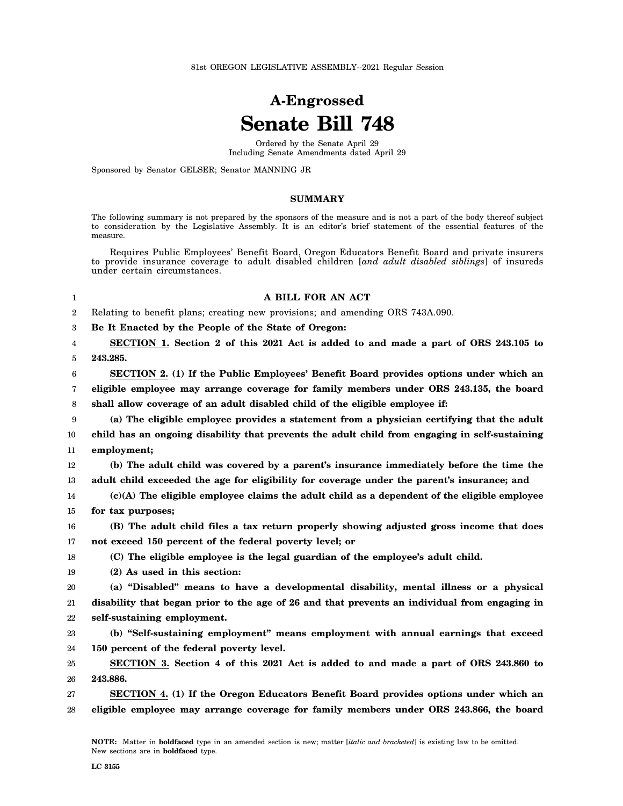81st OREGON LEGISLATIVE ASSEMBLY--2021 Regular Session

## **A-Engrossed Senate Bill 748**

Ordered by the Senate April 29 Including Senate Amendments dated April 29

Sponsored by Senator GELSER; Senator MANNING JR

## **SUMMARY**

The following summary is not prepared by the sponsors of the measure and is not a part of the body thereof subject to consideration by the Legislative Assembly. It is an editor's brief statement of the essential features of the measure.

Requires Public Employees' Benefit Board, Oregon Educators Benefit Board and private insurers to provide insurance coverage to adult disabled children [*and adult disabled siblings*] of insureds under certain circumstances.

| 1                | A BILL FOR AN ACT                                                                              |
|------------------|------------------------------------------------------------------------------------------------|
| $\boldsymbol{2}$ | Relating to benefit plans; creating new provisions; and amending ORS 743A.090.                 |
| 3                | Be It Enacted by the People of the State of Oregon:                                            |
| 4                | SECTION 1. Section 2 of this 2021 Act is added to and made a part of ORS 243.105 to            |
| 5                | 243.285.                                                                                       |
| 6                | SECTION 2. (1) If the Public Employees' Benefit Board provides options under which an          |
| 7                | eligible employee may arrange coverage for family members under ORS 243.135, the board         |
| 8                | shall allow coverage of an adult disabled child of the eligible employee if:                   |
| 9                | (a) The eligible employee provides a statement from a physician certifying that the adult      |
| 10               | child has an ongoing disability that prevents the adult child from engaging in self-sustaining |
| 11               | employment;                                                                                    |
| 12               | (b) The adult child was covered by a parent's insurance immediately before the time the        |
| 13               | adult child exceeded the age for eligibility for coverage under the parent's insurance; and    |
| 14               | $(c)(A)$ The eligible employee claims the adult child as a dependent of the eligible employee  |
| 15               | for tax purposes;                                                                              |
| 16               | (B) The adult child files a tax return properly showing adjusted gross income that does        |
| 17               | not exceed 150 percent of the federal poverty level; or                                        |
| 18               | (C) The eligible employee is the legal guardian of the employee's adult child.                 |
| 19               | (2) As used in this section:                                                                   |
| 20               | (a) "Disabled" means to have a developmental disability, mental illness or a physical          |
| 21               | disability that began prior to the age of 26 and that prevents an individual from engaging in  |
| 22               | self-sustaining employment.                                                                    |
| 23               | (b) "Self-sustaining employment" means employment with annual earnings that exceed             |
| 24               | 150 percent of the federal poverty level.                                                      |
| 25               | SECTION 3. Section 4 of this 2021 Act is added to and made a part of ORS 243.860 to            |
| 26               | 243.886.                                                                                       |
| 27               | SECTION 4. (1) If the Oregon Educators Benefit Board provides options under which an           |
| 28               | eligible employee may arrange coverage for family members under ORS 243.866, the board         |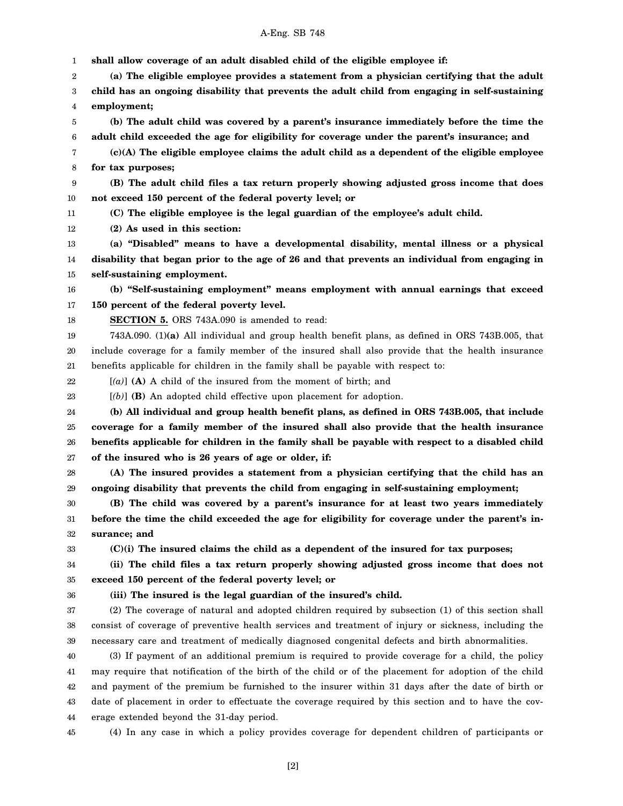## A-Eng. SB 748

1 2 3 4 5 6 7 8 9 10 11 12 13 14 15 16 17 18 19 20 21 22 23 24 25 26 27 28 29 30 31 32 33 34 35 36 37 38 39 40 41 42 43 **shall allow coverage of an adult disabled child of the eligible employee if: (a) The eligible employee provides a statement from a physician certifying that the adult child has an ongoing disability that prevents the adult child from engaging in self-sustaining employment; (b) The adult child was covered by a parent's insurance immediately before the time the adult child exceeded the age for eligibility for coverage under the parent's insurance; and (c)(A) The eligible employee claims the adult child as a dependent of the eligible employee for tax purposes; (B) The adult child files a tax return properly showing adjusted gross income that does not exceed 150 percent of the federal poverty level; or (C) The eligible employee is the legal guardian of the employee's adult child. (2) As used in this section: (a) "Disabled" means to have a developmental disability, mental illness or a physical disability that began prior to the age of 26 and that prevents an individual from engaging in self-sustaining employment. (b) "Self-sustaining employment" means employment with annual earnings that exceed 150 percent of the federal poverty level. SECTION 5.** ORS 743A.090 is amended to read: 743A.090. (1)**(a)** All individual and group health benefit plans, as defined in ORS 743B.005, that include coverage for a family member of the insured shall also provide that the health insurance benefits applicable for children in the family shall be payable with respect to: [*(a)*] **(A)** A child of the insured from the moment of birth; and [*(b)*] **(B)** An adopted child effective upon placement for adoption. **(b) All individual and group health benefit plans, as defined in ORS 743B.005, that include coverage for a family member of the insured shall also provide that the health insurance benefits applicable for children in the family shall be payable with respect to a disabled child of the insured who is 26 years of age or older, if: (A) The insured provides a statement from a physician certifying that the child has an ongoing disability that prevents the child from engaging in self-sustaining employment; (B) The child was covered by a parent's insurance for at least two years immediately before the time the child exceeded the age for eligibility for coverage under the parent's insurance; and (C)(i) The insured claims the child as a dependent of the insured for tax purposes; (ii) The child files a tax return properly showing adjusted gross income that does not exceed 150 percent of the federal poverty level; or (iii) The insured is the legal guardian of the insured's child.** (2) The coverage of natural and adopted children required by subsection (1) of this section shall consist of coverage of preventive health services and treatment of injury or sickness, including the necessary care and treatment of medically diagnosed congenital defects and birth abnormalities. (3) If payment of an additional premium is required to provide coverage for a child, the policy may require that notification of the birth of the child or of the placement for adoption of the child and payment of the premium be furnished to the insurer within 31 days after the date of birth or date of placement in order to effectuate the coverage required by this section and to have the cov-

44 erage extended beyond the 31-day period.

45 (4) In any case in which a policy provides coverage for dependent children of participants or